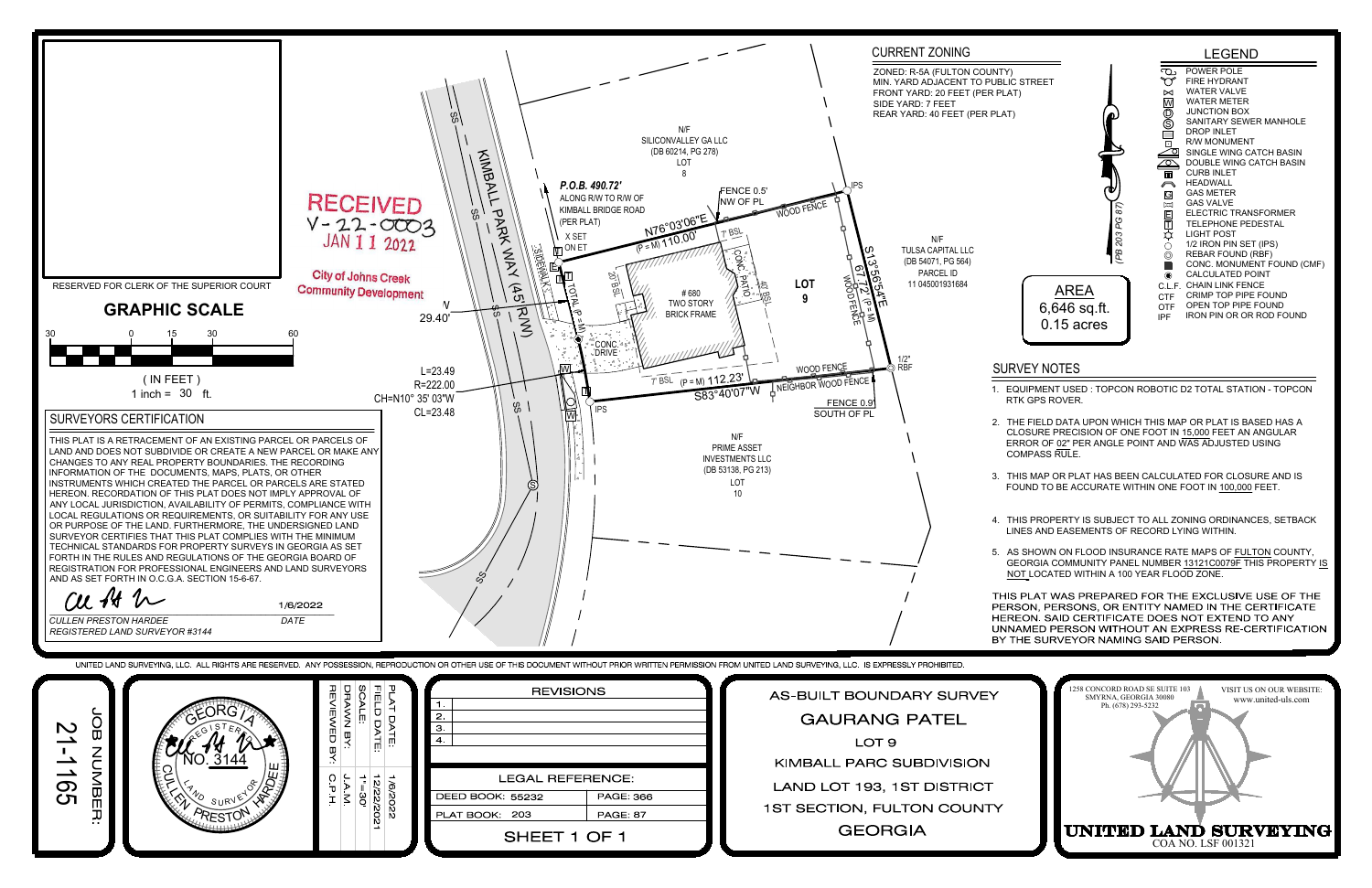

|                  | <i>RESTON HARDEE</i><br>DATE<br>RED LAND SURVEYOR #3144 |                                  |                                           |                              | <b>UNNAMED</b><br>BY THE SU                                                                                                                                                                            |
|------------------|---------------------------------------------------------|----------------------------------|-------------------------------------------|------------------------------|--------------------------------------------------------------------------------------------------------------------------------------------------------------------------------------------------------|
|                  |                                                         |                                  |                                           |                              | ED LAND SURVEYING, LLC. ALL RIGHTS ARE RESERVED. ANY POSSESSION, REPRODUCTION OR OTHER USE OF THIS DOCUMENT WITHOUT PRIOR WRITTEN PERMISSION FROM UNITED LAND SURVEYING, LLC. IS EXPRESSLY PROHIBITED. |
|                  | SURVEY<br><b>RESTON</b>                                 | NE:<br>ATE:<br>2/22/202<br>02/9/ | <b>REVISIONS</b>                          |                              | AS-BUILT BOUNDARY SURVEY                                                                                                                                                                               |
|                  |                                                         |                                  | $\overline{2}$ .<br>$\mathbf{3}$          |                              | <b>GAURANG PATEL</b>                                                                                                                                                                                   |
| ັດ<br>ໝ          |                                                         |                                  | $\overline{4}$                            |                              | LOT <sub>9</sub>                                                                                                                                                                                       |
| $\sum_{i=1}^{n}$ |                                                         |                                  |                                           |                              | KIMBALL PARC SUBDIVISION                                                                                                                                                                               |
| Φ                |                                                         |                                  | <b>LEGAL REFERENCE:</b>                   |                              | LAND LOT 193, 1ST DISTRICT                                                                                                                                                                             |
|                  |                                                         |                                  | <b>DEED BOOK: 55232</b><br>PLAT BOOK: 203 | PAGE: 366<br><b>PAGE: 87</b> | 1ST SECTION, FULTON COUNTY                                                                                                                                                                             |
|                  |                                                         |                                  | SHEET 1 OF 1                              |                              | <b>GEORGIA</b>                                                                                                                                                                                         |